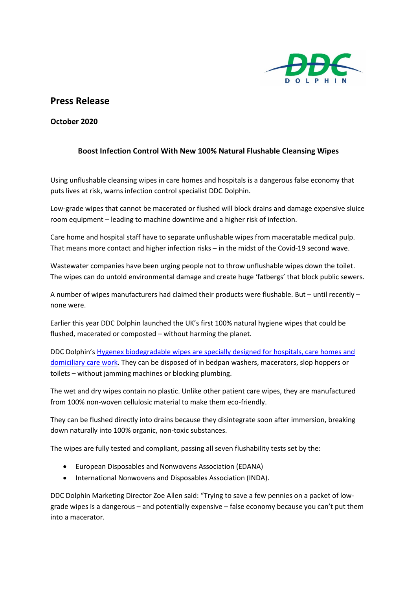

## **Press Release**

**October 2020**

## **Boost Infection Control With New 100% Natural Flushable Cleansing Wipes**

Using unflushable cleansing wipes in care homes and hospitals is a dangerous false economy that puts lives at risk, warns infection control specialist DDC Dolphin.

Low-grade wipes that cannot be macerated or flushed will block drains and damage expensive sluice room equipment – leading to machine downtime and a higher risk of infection.

Care home and hospital staff have to separate unflushable wipes from maceratable medical pulp. That means more contact and higher infection risks – in the midst of the Covid-19 second wave.

Wastewater companies have been urging people not to throw unflushable wipes down the toilet. The wipes can do untold environmental damage and create huge 'fatbergs' that block public sewers.

A number of wipes manufacturers had claimed their products were flushable. But – until recently – none were.

Earlier this year DDC Dolphin launched the UK's first 100% natural hygiene wipes that could be flushed, macerated or composted – without harming the planet.

DDC Dolphin's [Hygenex biodegradable wipes are specially designed for hospitals, care homes and](https://www.ddcdolphin.com/products/hygenex-products/patient-care/hygenex-maceratable-wipes)  [domiciliary care work.](https://www.ddcdolphin.com/products/hygenex-products/patient-care/hygenex-maceratable-wipes) They can be disposed of in bedpan washers, macerators, slop hoppers or toilets – without jamming machines or blocking plumbing.

The wet and dry wipes contain no plastic. Unlike other patient care wipes, they are manufactured from 100% non-woven cellulosic material to make them eco-friendly.

They can be flushed directly into drains because they disintegrate soon after immersion, breaking down naturally into 100% organic, non-toxic substances.

The wipes are fully tested and compliant, passing all seven flushability tests set by the:

- European Disposables and Nonwovens Association (EDANA)
- International Nonwovens and Disposables Association (INDA).

DDC Dolphin Marketing Director Zoe Allen said: "Trying to save a few pennies on a packet of lowgrade wipes is a dangerous – and potentially expensive – false economy because you can't put them into a macerator.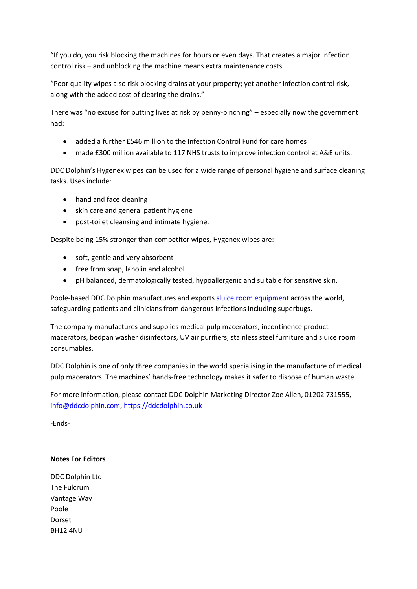"If you do, you risk blocking the machines for hours or even days. That creates a major infection control risk – and unblocking the machine means extra maintenance costs.

"Poor quality wipes also risk blocking drains at your property; yet another infection control risk, along with the added cost of clearing the drains."

There was "no excuse for putting lives at risk by penny-pinching" – especially now the government had:

- added a further £546 million to the Infection Control Fund for care homes
- made £300 million available to 117 NHS trusts to improve infection control at A&E units.

DDC Dolphin's Hygenex wipes can be used for a wide range of personal hygiene and surface cleaning tasks. Uses include:

- hand and face cleaning
- skin care and general patient hygiene
- post-toilet cleansing and intimate hygiene.

Despite being 15% stronger than competitor wipes, Hygenex wipes are:

- soft, gentle and very absorbent
- free from soap, lanolin and alcohol
- pH balanced, dermatologically tested, hypoallergenic and suitable for sensitive skin.

Poole-based DDC Dolphin manufactures and exports [sluice room equipment](https://www.ddcdolphin.com/sluice-room-solutions) across the world, safeguarding patients and clinicians from dangerous infections including superbugs.

The company manufactures and supplies medical pulp macerators, incontinence product macerators, bedpan washer disinfectors, UV air purifiers, stainless steel furniture and sluice room consumables.

DDC Dolphin is one of only three companies in the world specialising in the manufacture of medical pulp macerators. The machines' hands-free technology makes it safer to dispose of human waste.

For more information, please contact DDC Dolphin Marketing Director Zoe Allen, 01202 731555, [info@ddcdolphin.com,](mailto:info@ddcdolphin.com) [https://ddcdolphin.co.uk](https://ddcdolphin.co.uk/)

-Ends-

## **Notes For Editors**

DDC Dolphin Ltd The Fulcrum Vantage Way Poole Dorset BH12 4NU